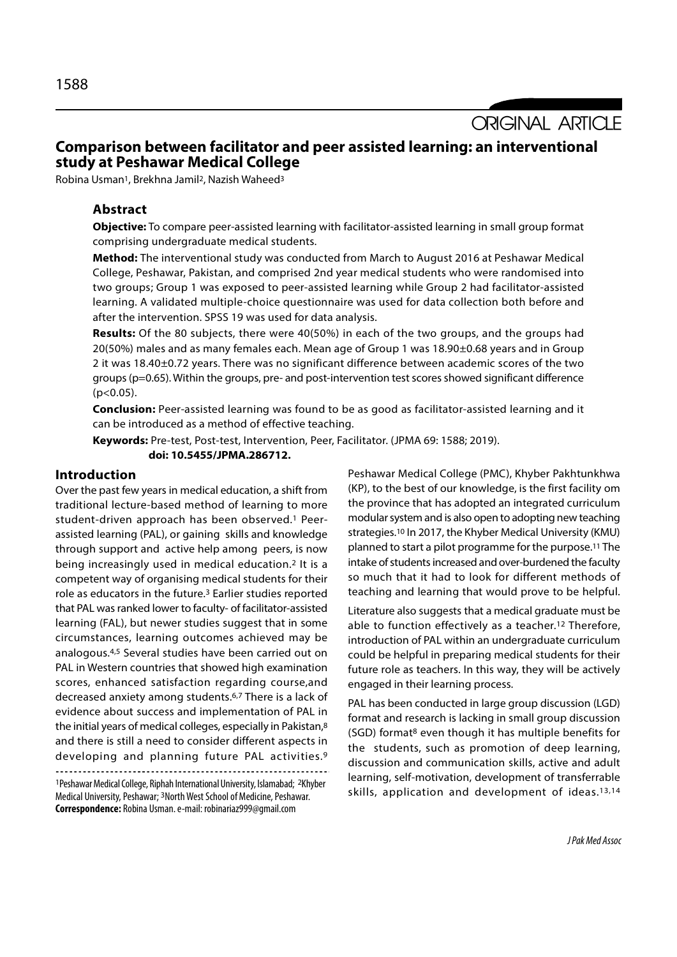**ORIGINAL ARTICLE** 

# Comparison between facilitator and peer assisted learning: an interventional study at Peshawar Medical College

Robina Usman<sup>1</sup>, Brekhna Jamil<sup>2</sup>, Nazish Waheed<sup>3</sup>

# Abstract

Objective: To compare peer-assisted learning with facilitator-assisted learning in small group format comprising undergraduate medical students.

Method: The interventional study was conducted from March to August 2016 at Peshawar Medical College, Peshawar, Pakistan, and comprised 2nd year medical students who were randomised into two groups; Group 1 was exposed to peer-assisted learning while Group 2 had facilitator-assisted learning. A validated multiple-choice questionnaire was used for data collection both before and after the intervention. SPSS 19 was used for data analysis.

Results: Of the 80 subjects, there were 40(50%) in each of the two groups, and the groups had 20(50%) males and as many females each. Mean age of Group 1 was 18.90±0.68 years and in Group 2 it was 18.40±0.72 years. There was no significant difference between academic scores of the two groups (p=0.65). Within the groups, pre- and post-intervention test scores showed significant difference  $(p<0.05)$ .

Conclusion: Peer-assisted learning was found to be as good as facilitator-assisted learning and it can be introduced as a method of effective teaching.

Keywords: Pre-test, Post-test, Intervention, Peer, Facilitator. (JPMA 69: 1588; 2019). doi: 10.5455/JPMA.286712.

### Introduction

Over the past few years in medical education, a shift from traditional lecture-based method of learning to more student-driven approach has been observed.1 Peerassisted learning (PAL), or gaining skills and knowledge through support and active help among peers, is now being increasingly used in medical education.2 It is a competent way of organising medical students for their role as educators in the future.3 Earlier studies reported that PAL was ranked lower to faculty- of facilitator-assisted learning (FAL), but newer studies suggest that in some circumstances, learning outcomes achieved may be analogous.4,5 Several studies have been carried out on PAL in Western countries that showed high examination scores, enhanced satisfaction regarding course,and decreased anxiety among students.6,7 There is a lack of evidence about success and implementation of PAL in the initial years of medical colleges, especially in Pakistan,8 and there is still a need to consider different aspects in developing and planning future PAL activities.9

<sup>1</sup>Peshawar Medical College, Riphah International University, Islamabad; 2Khyber Medical University, Peshawar; 3North West School of Medicine, Peshawar. Correspondence: Robina Usman. e-mail: robinariaz999@gmail.com

Peshawar Medical College (PMC), Khyber Pakhtunkhwa (KP), to the best of our knowledge, is the first facility om the province that has adopted an integrated curriculum modular system and is also open to adopting new teaching strategies.10 In 2017, the Khyber Medical University (KMU) planned to start a pilot programme for the purpose.11 The intake of students increased and over-burdened the faculty so much that it had to look for different methods of teaching and learning that would prove to be helpful.

Literature also suggests that a medical graduate must be able to function effectively as a teacher.12 Therefore, introduction of PAL within an undergraduate curriculum could be helpful in preparing medical students for their future role as teachers. In this way, they will be actively engaged in their learning process.

PAL has been conducted in large group discussion (LGD) format and research is lacking in small group discussion (SGD) format8 even though it has multiple benefits for the students, such as promotion of deep learning, discussion and communication skills, active and adult learning, self-motivation, development of transferrable skills, application and development of ideas.13,14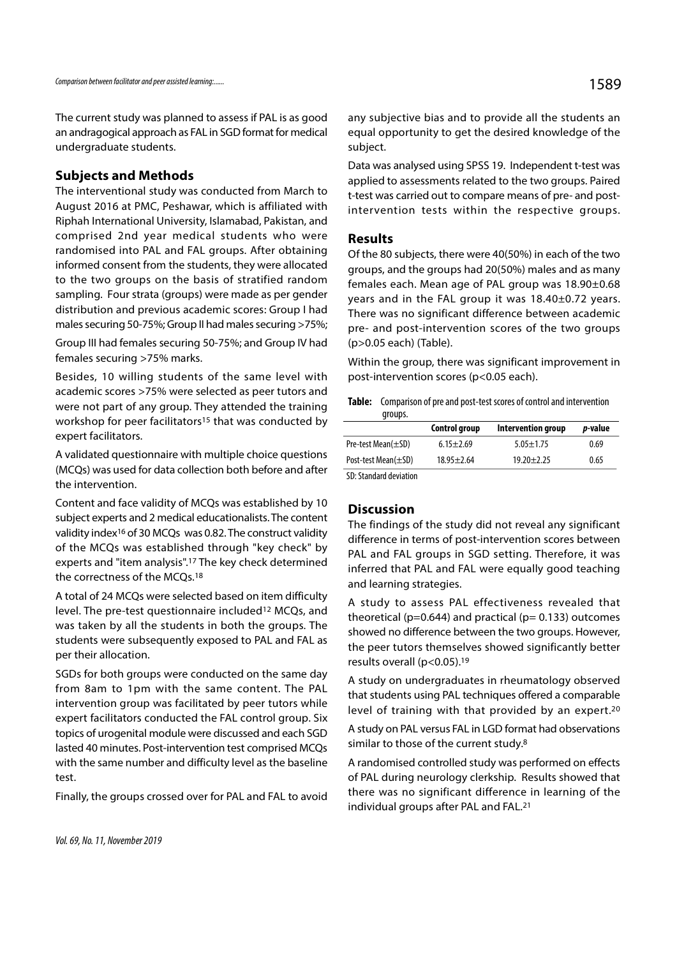The current study was planned to assess if PAL is as good an andragogical approach as FAL in SGD format for medical undergraduate students.

# Subjects and Methods

The interventional study was conducted from March to August 2016 at PMC, Peshawar, which is affiliated with Riphah International University, Islamabad, Pakistan, and comprised 2nd year medical students who were randomised into PAL and FAL groups. After obtaining informed consent from the students, they were allocated to the two groups on the basis of stratified random sampling. Four strata (groups) were made as per gender distribution and previous academic scores: Group I had males securing 50-75%; Group II had males securing >75%;

Group III had females securing 50-75%; and Group IV had females securing >75% marks.

Besides, 10 willing students of the same level with academic scores >75% were selected as peer tutors and were not part of any group. They attended the training workshop for peer facilitators<sup>15</sup> that was conducted by expert facilitators.

A validated questionnaire with multiple choice questions (MCQs) was used for data collection both before and after the intervention.

Content and face validity of MCQs was established by 10 subject experts and 2 medical educationalists. The content validity index16 of 30 MCQs was 0.82. The construct validity of the MCQs was established through "key check" by experts and "item analysis".17 The key check determined the correctness of the MCQs.18

A total of 24 MCQs were selected based on item difficulty level. The pre-test questionnaire included12 MCQs, and was taken by all the students in both the groups. The students were subsequently exposed to PAL and FAL as per their allocation.

SGDs for both groups were conducted on the same day from 8am to 1pm with the same content. The PAL intervention group was facilitated by peer tutors while expert facilitators conducted the FAL control group. Six topics of urogenital module were discussed and each SGD lasted 40 minutes. Post-intervention test comprised MCQs with the same number and difficulty level as the baseline test.

Finally, the groups crossed over for PAL and FAL to avoid

any subjective bias and to provide all the students an equal opportunity to get the desired knowledge of the subject.

Data was analysed using SPSS 19. Independent t-test was applied to assessments related to the two groups. Paired t-test was carried out to compare means of pre- and postintervention tests within the respective groups.

# Results

Of the 80 subjects, there were 40(50%) in each of the two groups, and the groups had 20(50%) males and as many females each. Mean age of PAL group was 18.90±0.68 years and in the FAL group it was 18.40±0.72 years. There was no significant difference between academic pre- and post-intervention scores of the two groups (p>0.05 each) (Table).

Within the group, there was significant improvement in post-intervention scores (p<0.05 each).

Table: Comparison of pre and post-test scores of control and intervention groups.

|                           | Control group    | Intervention group | <i>p</i> -value |
|---------------------------|------------------|--------------------|-----------------|
| Pre-test Mean $(\pm SD)$  | $6.15 \pm 2.69$  | $5.05 \pm 1.75$    | 0.69            |
| Post-test Mean $(\pm SD)$ | $18.95 \pm 2.64$ | $19.20 + 2.25$     | 0.65            |
| SD: Standard deviation    |                  |                    |                 |

# **Discussion**

The findings of the study did not reveal any significant difference in terms of post-intervention scores between PAL and FAL groups in SGD setting. Therefore, it was inferred that PAL and FAL were equally good teaching and learning strategies.

A study to assess PAL effectiveness revealed that theoretical ( $p=0.644$ ) and practical ( $p=0.133$ ) outcomes showed no difference between the two groups. However, the peer tutors themselves showed significantly better results overall (p<0.05).19

A study on undergraduates in rheumatology observed that students using PAL techniques offered a comparable level of training with that provided by an expert.20

A study on PAL versus FAL in LGD format had observations similar to those of the current study.8

A randomised controlled study was performed on effects of PAL during neurology clerkship. Results showed that there was no significant difference in learning of the individual groups after PAL and FAL.21